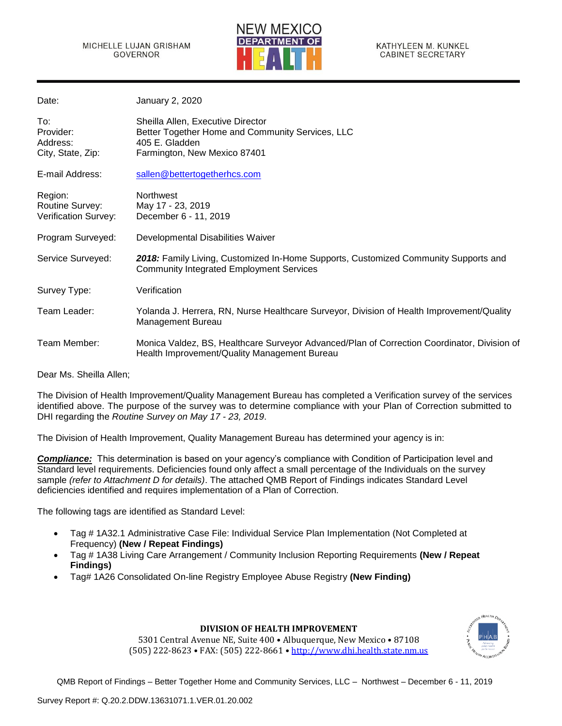

KATHYLEEN M. KUNKEL **CABINET SECRETARY** 

| Date:                                              | January 2, 2020                                                                                                                             |
|----------------------------------------------------|---------------------------------------------------------------------------------------------------------------------------------------------|
| To:<br>Provider:<br>Address:<br>City, State, Zip:  | Sheilla Allen, Executive Director<br>Better Together Home and Community Services, LLC<br>405 E. Gladden<br>Farmington, New Mexico 87401     |
| E-mail Address:                                    | sallen@bettertogetherhcs.com                                                                                                                |
| Region:<br>Routine Survey:<br>Verification Survey: | <b>Northwest</b><br>May 17 - 23, 2019<br>December 6 - 11, 2019                                                                              |
| Program Surveyed:                                  | Developmental Disabilities Waiver                                                                                                           |
| Service Surveyed:                                  | 2018: Family Living, Customized In-Home Supports, Customized Community Supports and<br><b>Community Integrated Employment Services</b>      |
| Survey Type:                                       | Verification                                                                                                                                |
| Team Leader:                                       | Yolanda J. Herrera, RN, Nurse Healthcare Surveyor, Division of Health Improvement/Quality<br>Management Bureau                              |
| Team Member:                                       | Monica Valdez, BS, Healthcare Surveyor Advanced/Plan of Correction Coordinator, Division of<br>Health Improvement/Quality Management Bureau |
|                                                    |                                                                                                                                             |

Dear Ms. Sheilla Allen;

The Division of Health Improvement/Quality Management Bureau has completed a Verification survey of the services identified above. The purpose of the survey was to determine compliance with your Plan of Correction submitted to DHI regarding the *Routine Survey on May 17 - 23, 2019*.

The Division of Health Improvement, Quality Management Bureau has determined your agency is in:

*Compliance:* This determination is based on your agency's compliance with Condition of Participation level and Standard level requirements. Deficiencies found only affect a small percentage of the Individuals on the survey sample *(refer to Attachment D for details)*. The attached QMB Report of Findings indicates Standard Level deficiencies identified and requires implementation of a Plan of Correction.

The following tags are identified as Standard Level:

- Tag # 1A32.1 Administrative Case File: Individual Service Plan Implementation (Not Completed at Frequency) **(New / Repeat Findings)**
- Tag # 1A38 Living Care Arrangement / Community Inclusion Reporting Requirements **(New / Repeat Findings)**
- Tag# 1A26 Consolidated On-line Registry Employee Abuse Registry **(New Finding)**



#### **DIVISION OF HEALTH IMPROVEMENT**

5301 Central Avenue NE, Suite 400 • Albuquerque, New Mexico • 87108 (505) 222-8623 • FAX: (505) 222-8661 • [http://www.dhi.health.state.nm.us](http://www.dhi.health.state.nm.us/)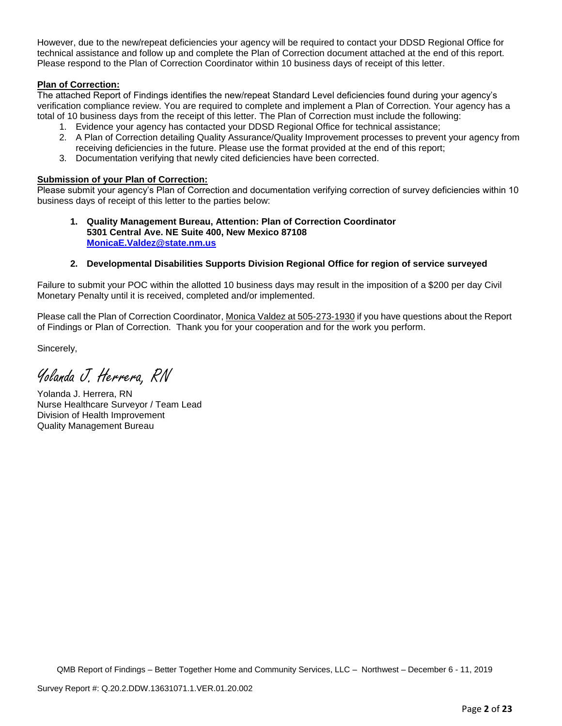However, due to the new/repeat deficiencies your agency will be required to contact your DDSD Regional Office for technical assistance and follow up and complete the Plan of Correction document attached at the end of this report. Please respond to the Plan of Correction Coordinator within 10 business days of receipt of this letter.

## **Plan of Correction:**

The attached Report of Findings identifies the new/repeat Standard Level deficiencies found during your agency's verification compliance review. You are required to complete and implement a Plan of Correction. Your agency has a total of 10 business days from the receipt of this letter. The Plan of Correction must include the following:

- 1. Evidence your agency has contacted your DDSD Regional Office for technical assistance;
- 2. A Plan of Correction detailing Quality Assurance/Quality Improvement processes to prevent your agency from receiving deficiencies in the future. Please use the format provided at the end of this report;
- 3. Documentation verifying that newly cited deficiencies have been corrected.

#### **Submission of your Plan of Correction:**

Please submit your agency's Plan of Correction and documentation verifying correction of survey deficiencies within 10 business days of receipt of this letter to the parties below:

#### **1. Quality Management Bureau, Attention: Plan of Correction Coordinator 5301 Central Ave. NE Suite 400, New Mexico 87108 [MonicaE.Valdez@state.nm.us](mailto:MonicaE.Valdez@state.nm.us)**

#### **2. Developmental Disabilities Supports Division Regional Office for region of service surveyed**

Failure to submit your POC within the allotted 10 business days may result in the imposition of a \$200 per day Civil Monetary Penalty until it is received, completed and/or implemented.

Please call the Plan of Correction Coordinator, Monica Valdez at 505-273-1930 if you have questions about the Report of Findings or Plan of Correction. Thank you for your cooperation and for the work you perform.

Sincerely,

Yolanda J. Herrera, RN

Yolanda J. Herrera, RN Nurse Healthcare Surveyor / Team Lead Division of Health Improvement Quality Management Bureau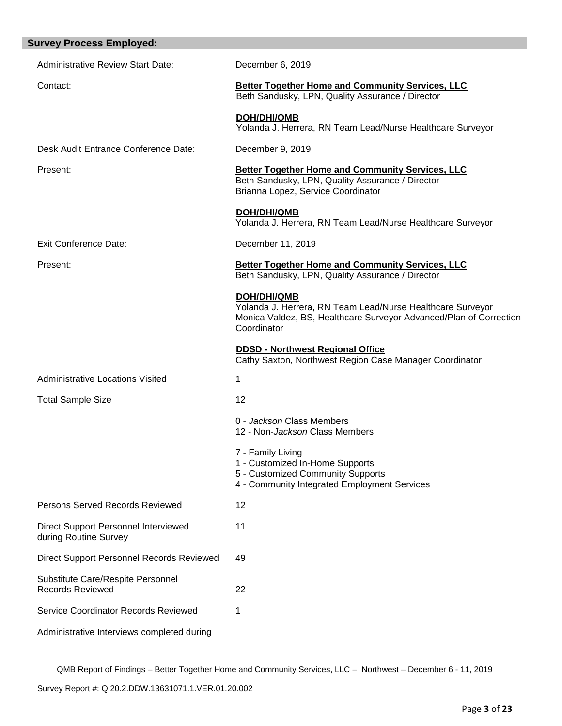| <b>Survey Process Employed:</b>                               |                                                                                                                                                                       |
|---------------------------------------------------------------|-----------------------------------------------------------------------------------------------------------------------------------------------------------------------|
| <b>Administrative Review Start Date:</b>                      | December 6, 2019                                                                                                                                                      |
| Contact:                                                      | <b>Better Together Home and Community Services, LLC</b><br>Beth Sandusky, LPN, Quality Assurance / Director                                                           |
|                                                               | <b>DOH/DHI/QMB</b><br>Yolanda J. Herrera, RN Team Lead/Nurse Healthcare Surveyor                                                                                      |
| Desk Audit Entrance Conference Date:                          | December 9, 2019                                                                                                                                                      |
| Present:                                                      | <b>Better Together Home and Community Services, LLC</b><br>Beth Sandusky, LPN, Quality Assurance / Director<br>Brianna Lopez, Service Coordinator                     |
|                                                               | DOH/DHI/QMB<br>Yolanda J. Herrera, RN Team Lead/Nurse Healthcare Surveyor                                                                                             |
| <b>Exit Conference Date:</b>                                  | December 11, 2019                                                                                                                                                     |
| Present:                                                      | <b>Better Together Home and Community Services, LLC</b><br>Beth Sandusky, LPN, Quality Assurance / Director                                                           |
|                                                               | <b>DOH/DHI/QMB</b><br>Yolanda J. Herrera, RN Team Lead/Nurse Healthcare Surveyor<br>Monica Valdez, BS, Healthcare Surveyor Advanced/Plan of Correction<br>Coordinator |
|                                                               | <b>DDSD - Northwest Regional Office</b><br>Cathy Saxton, Northwest Region Case Manager Coordinator                                                                    |
| <b>Administrative Locations Visited</b>                       | 1                                                                                                                                                                     |
| <b>Total Sample Size</b>                                      | 12                                                                                                                                                                    |
|                                                               | 0 - Jackson Class Members<br>12 - Non-Jackson Class Members                                                                                                           |
|                                                               | 7 - Family Living<br>1 - Customized In-Home Supports<br>5 - Customized Community Supports<br>4 - Community Integrated Employment Services                             |
| Persons Served Records Reviewed                               | 12                                                                                                                                                                    |
| Direct Support Personnel Interviewed<br>during Routine Survey | 11                                                                                                                                                                    |
| Direct Support Personnel Records Reviewed                     | 49                                                                                                                                                                    |
| Substitute Care/Respite Personnel<br><b>Records Reviewed</b>  | 22                                                                                                                                                                    |
| Service Coordinator Records Reviewed                          | 1                                                                                                                                                                     |
| Administrative Interviews completed during                    |                                                                                                                                                                       |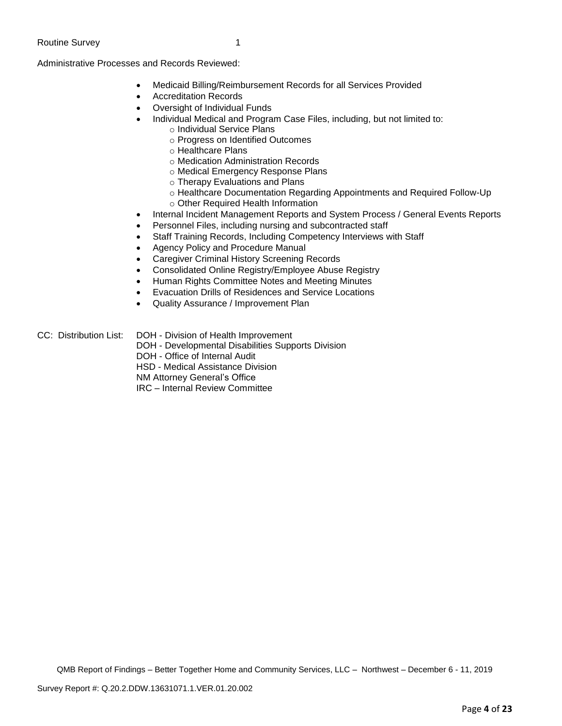Administrative Processes and Records Reviewed:

- Medicaid Billing/Reimbursement Records for all Services Provided
- Accreditation Records
- Oversight of Individual Funds
	- Individual Medical and Program Case Files, including, but not limited to:
		- o Individual Service Plans
		- o Progress on Identified Outcomes
		- o Healthcare Plans
		- o Medication Administration Records
		- o Medical Emergency Response Plans
		- o Therapy Evaluations and Plans
		- o Healthcare Documentation Regarding Appointments and Required Follow-Up
		- o Other Required Health Information
- Internal Incident Management Reports and System Process / General Events Reports
- Personnel Files, including nursing and subcontracted staff
- Staff Training Records, Including Competency Interviews with Staff
- Agency Policy and Procedure Manual
- Caregiver Criminal History Screening Records
- Consolidated Online Registry/Employee Abuse Registry
- Human Rights Committee Notes and Meeting Minutes
- Evacuation Drills of Residences and Service Locations
- Quality Assurance / Improvement Plan

CC: Distribution List: DOH - Division of Health Improvement DOH - Developmental Disabilities Supports Division

DOH - Office of Internal Audit

HSD - Medical Assistance Division

- NM Attorney General's Office
- IRC Internal Review Committee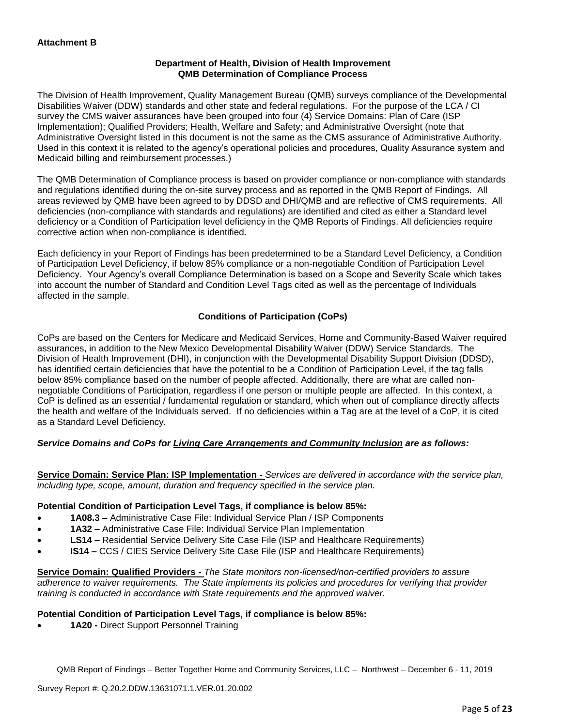## **Department of Health, Division of Health Improvement QMB Determination of Compliance Process**

The Division of Health Improvement, Quality Management Bureau (QMB) surveys compliance of the Developmental Disabilities Waiver (DDW) standards and other state and federal regulations. For the purpose of the LCA / CI survey the CMS waiver assurances have been grouped into four (4) Service Domains: Plan of Care (ISP Implementation); Qualified Providers; Health, Welfare and Safety; and Administrative Oversight (note that Administrative Oversight listed in this document is not the same as the CMS assurance of Administrative Authority. Used in this context it is related to the agency's operational policies and procedures, Quality Assurance system and Medicaid billing and reimbursement processes.)

The QMB Determination of Compliance process is based on provider compliance or non-compliance with standards and regulations identified during the on-site survey process and as reported in the QMB Report of Findings. All areas reviewed by QMB have been agreed to by DDSD and DHI/QMB and are reflective of CMS requirements. All deficiencies (non-compliance with standards and regulations) are identified and cited as either a Standard level deficiency or a Condition of Participation level deficiency in the QMB Reports of Findings. All deficiencies require corrective action when non-compliance is identified.

Each deficiency in your Report of Findings has been predetermined to be a Standard Level Deficiency, a Condition of Participation Level Deficiency, if below 85% compliance or a non-negotiable Condition of Participation Level Deficiency. Your Agency's overall Compliance Determination is based on a Scope and Severity Scale which takes into account the number of Standard and Condition Level Tags cited as well as the percentage of Individuals affected in the sample.

## **Conditions of Participation (CoPs)**

CoPs are based on the Centers for Medicare and Medicaid Services, Home and Community-Based Waiver required assurances, in addition to the New Mexico Developmental Disability Waiver (DDW) Service Standards. The Division of Health Improvement (DHI), in conjunction with the Developmental Disability Support Division (DDSD), has identified certain deficiencies that have the potential to be a Condition of Participation Level, if the tag falls below 85% compliance based on the number of people affected. Additionally, there are what are called nonnegotiable Conditions of Participation, regardless if one person or multiple people are affected. In this context, a CoP is defined as an essential / fundamental regulation or standard, which when out of compliance directly affects the health and welfare of the Individuals served. If no deficiencies within a Tag are at the level of a CoP, it is cited as a Standard Level Deficiency.

## *Service Domains and CoPs for Living Care Arrangements and Community Inclusion are as follows:*

**Service Domain: Service Plan: ISP Implementation -** *Services are delivered in accordance with the service plan, including type, scope, amount, duration and frequency specified in the service plan.*

#### **Potential Condition of Participation Level Tags, if compliance is below 85%:**

- **1A08.3 –** Administrative Case File: Individual Service Plan / ISP Components
- **1A32 –** Administrative Case File: Individual Service Plan Implementation
- **LS14 –** Residential Service Delivery Site Case File (ISP and Healthcare Requirements)
- **IS14 –** CCS / CIES Service Delivery Site Case File (ISP and Healthcare Requirements)

**Service Domain: Qualified Providers -** *The State monitors non-licensed/non-certified providers to assure adherence to waiver requirements. The State implements its policies and procedures for verifying that provider training is conducted in accordance with State requirements and the approved waiver.*

#### **Potential Condition of Participation Level Tags, if compliance is below 85%:**

• **1A20 -** Direct Support Personnel Training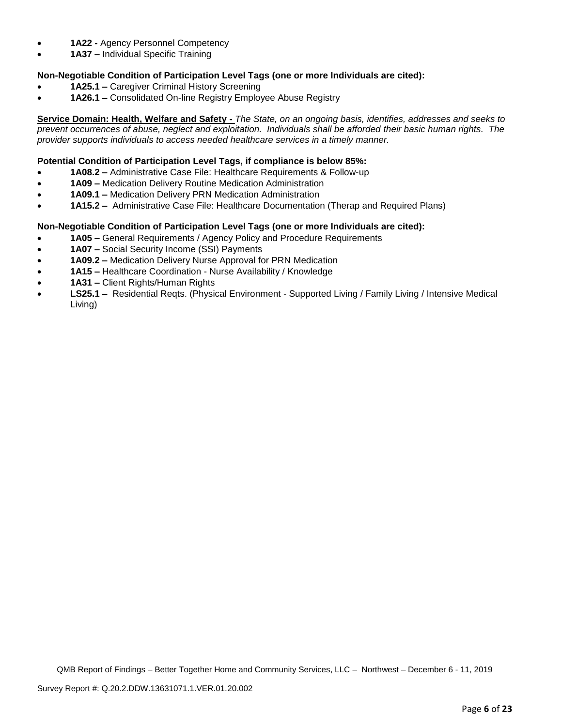- **1A22 -** Agency Personnel Competency
- **1A37 –** Individual Specific Training

## **Non-Negotiable Condition of Participation Level Tags (one or more Individuals are cited):**

- **1A25.1 –** Caregiver Criminal History Screening
- **1A26.1 –** Consolidated On-line Registry Employee Abuse Registry

**Service Domain: Health, Welfare and Safety -** *The State, on an ongoing basis, identifies, addresses and seeks to prevent occurrences of abuse, neglect and exploitation. Individuals shall be afforded their basic human rights. The provider supports individuals to access needed healthcare services in a timely manner.*

#### **Potential Condition of Participation Level Tags, if compliance is below 85%:**

- **1A08.2 –** Administrative Case File: Healthcare Requirements & Follow-up
- **1A09 –** Medication Delivery Routine Medication Administration
- **1A09.1 –** Medication Delivery PRN Medication Administration
- **1A15.2 –** Administrative Case File: Healthcare Documentation (Therap and Required Plans)

## **Non-Negotiable Condition of Participation Level Tags (one or more Individuals are cited):**

- **1A05 –** General Requirements / Agency Policy and Procedure Requirements
- **1A07 –** Social Security Income (SSI) Payments
- **1A09.2 –** Medication Delivery Nurse Approval for PRN Medication
- **1A15 –** Healthcare Coordination Nurse Availability / Knowledge
- **1A31 –** Client Rights/Human Rights
- **LS25.1 –** Residential Reqts. (Physical Environment Supported Living / Family Living / Intensive Medical Living)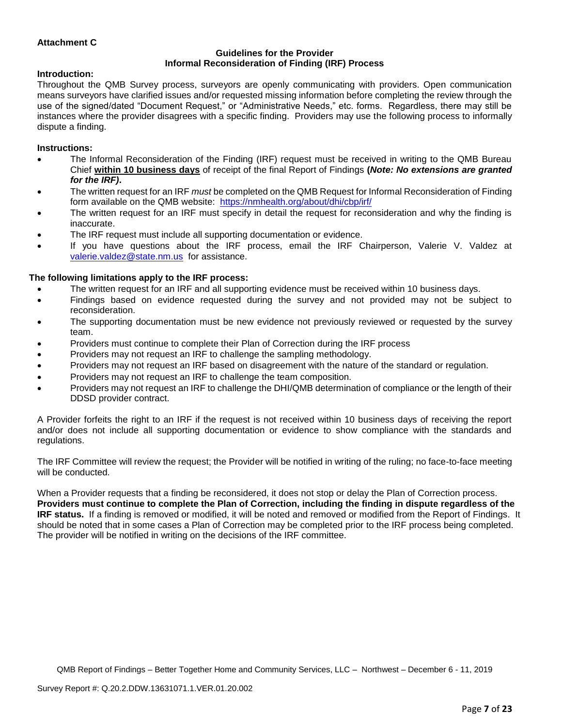## **Attachment C**

#### **Guidelines for the Provider Informal Reconsideration of Finding (IRF) Process**

#### **Introduction:**

Throughout the QMB Survey process, surveyors are openly communicating with providers. Open communication means surveyors have clarified issues and/or requested missing information before completing the review through the use of the signed/dated "Document Request," or "Administrative Needs," etc. forms. Regardless, there may still be instances where the provider disagrees with a specific finding. Providers may use the following process to informally dispute a finding.

#### **Instructions:**

- The Informal Reconsideration of the Finding (IRF) request must be received in writing to the QMB Bureau Chief **within 10 business days** of receipt of the final Report of Findings **(***Note: No extensions are granted for the IRF)***.**
- The written request for an IRF *must* be completed on the QMB Request for Informal Reconsideration of Finding form available on the QMB website: <https://nmhealth.org/about/dhi/cbp/irf/>
- The written request for an IRF must specify in detail the request for reconsideration and why the finding is inaccurate.
- The IRF request must include all supporting documentation or evidence.
- If you have questions about the IRF process, email the IRF Chairperson, Valerie V. Valdez at [valerie.valdez@state.nm.us](mailto:valerie.valdez@state.nm.us) for assistance.

#### **The following limitations apply to the IRF process:**

- The written request for an IRF and all supporting evidence must be received within 10 business days.
- Findings based on evidence requested during the survey and not provided may not be subject to reconsideration.
- The supporting documentation must be new evidence not previously reviewed or requested by the survey team.
- Providers must continue to complete their Plan of Correction during the IRF process
- Providers may not request an IRF to challenge the sampling methodology.
- Providers may not request an IRF based on disagreement with the nature of the standard or regulation.
- Providers may not request an IRF to challenge the team composition.
- Providers may not request an IRF to challenge the DHI/QMB determination of compliance or the length of their DDSD provider contract.

A Provider forfeits the right to an IRF if the request is not received within 10 business days of receiving the report and/or does not include all supporting documentation or evidence to show compliance with the standards and regulations.

The IRF Committee will review the request; the Provider will be notified in writing of the ruling; no face-to-face meeting will be conducted.

When a Provider requests that a finding be reconsidered, it does not stop or delay the Plan of Correction process. **Providers must continue to complete the Plan of Correction, including the finding in dispute regardless of the IRF status.** If a finding is removed or modified, it will be noted and removed or modified from the Report of Findings. It should be noted that in some cases a Plan of Correction may be completed prior to the IRF process being completed. The provider will be notified in writing on the decisions of the IRF committee.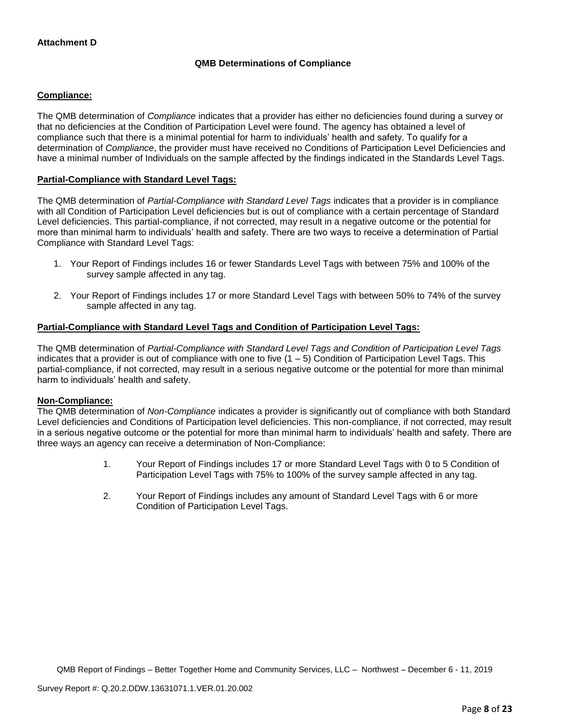## **QMB Determinations of Compliance**

## **Compliance:**

The QMB determination of *Compliance* indicates that a provider has either no deficiencies found during a survey or that no deficiencies at the Condition of Participation Level were found. The agency has obtained a level of compliance such that there is a minimal potential for harm to individuals' health and safety. To qualify for a determination of *Compliance*, the provider must have received no Conditions of Participation Level Deficiencies and have a minimal number of Individuals on the sample affected by the findings indicated in the Standards Level Tags.

#### **Partial-Compliance with Standard Level Tags:**

The QMB determination of *Partial-Compliance with Standard Level Tags* indicates that a provider is in compliance with all Condition of Participation Level deficiencies but is out of compliance with a certain percentage of Standard Level deficiencies. This partial-compliance, if not corrected, may result in a negative outcome or the potential for more than minimal harm to individuals' health and safety. There are two ways to receive a determination of Partial Compliance with Standard Level Tags:

- 1. Your Report of Findings includes 16 or fewer Standards Level Tags with between 75% and 100% of the survey sample affected in any tag.
- 2. Your Report of Findings includes 17 or more Standard Level Tags with between 50% to 74% of the survey sample affected in any tag.

## **Partial-Compliance with Standard Level Tags and Condition of Participation Level Tags:**

The QMB determination of *Partial-Compliance with Standard Level Tags and Condition of Participation Level Tags*  indicates that a provider is out of compliance with one to five  $(1 - 5)$  Condition of Participation Level Tags. This partial-compliance, if not corrected, may result in a serious negative outcome or the potential for more than minimal harm to individuals' health and safety.

#### **Non-Compliance:**

The QMB determination of *Non-Compliance* indicates a provider is significantly out of compliance with both Standard Level deficiencies and Conditions of Participation level deficiencies. This non-compliance, if not corrected, may result in a serious negative outcome or the potential for more than minimal harm to individuals' health and safety. There are three ways an agency can receive a determination of Non-Compliance:

- 1. Your Report of Findings includes 17 or more Standard Level Tags with 0 to 5 Condition of Participation Level Tags with 75% to 100% of the survey sample affected in any tag.
- 2. Your Report of Findings includes any amount of Standard Level Tags with 6 or more Condition of Participation Level Tags.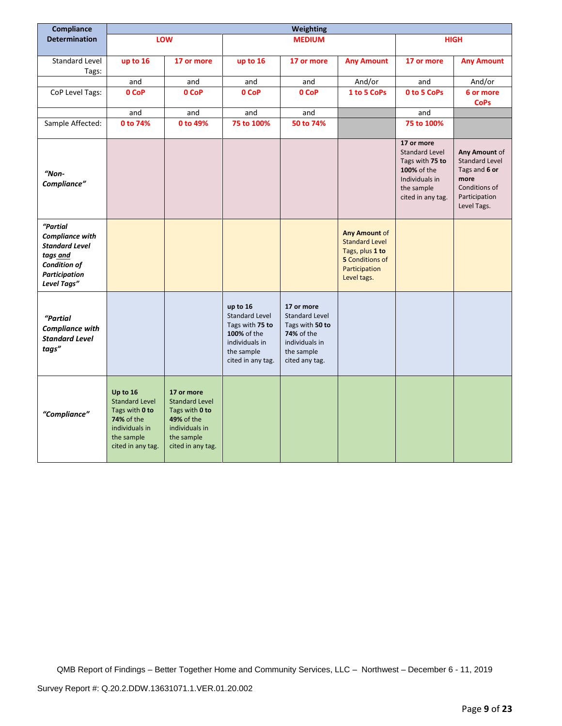| Compliance                                                                                                                            |                                                                                                                               |                                                                                                                                 |                                                                                                                          | Weighting                                                                                                       |                                                                                                                            |                                                                                                                            |                                                                                                           |
|---------------------------------------------------------------------------------------------------------------------------------------|-------------------------------------------------------------------------------------------------------------------------------|---------------------------------------------------------------------------------------------------------------------------------|--------------------------------------------------------------------------------------------------------------------------|-----------------------------------------------------------------------------------------------------------------|----------------------------------------------------------------------------------------------------------------------------|----------------------------------------------------------------------------------------------------------------------------|-----------------------------------------------------------------------------------------------------------|
| <b>Determination</b>                                                                                                                  |                                                                                                                               | LOW                                                                                                                             |                                                                                                                          | <b>MEDIUM</b>                                                                                                   |                                                                                                                            |                                                                                                                            | <b>HIGH</b>                                                                                               |
|                                                                                                                                       |                                                                                                                               |                                                                                                                                 |                                                                                                                          |                                                                                                                 |                                                                                                                            |                                                                                                                            |                                                                                                           |
| Standard Level<br>Tags:                                                                                                               | up to 16                                                                                                                      | 17 or more                                                                                                                      | up to 16                                                                                                                 | 17 or more                                                                                                      | <b>Any Amount</b>                                                                                                          | 17 or more                                                                                                                 | <b>Any Amount</b>                                                                                         |
|                                                                                                                                       | and                                                                                                                           | and                                                                                                                             | and                                                                                                                      | and                                                                                                             | And/or                                                                                                                     | and                                                                                                                        | And/or                                                                                                    |
| CoP Level Tags:                                                                                                                       | 0 CoP                                                                                                                         | 0 CoP                                                                                                                           | 0 CoP                                                                                                                    | 0 CoP                                                                                                           | 1 to 5 CoPs                                                                                                                | 0 to 5 CoPs                                                                                                                | 6 or more<br><b>CoPs</b>                                                                                  |
|                                                                                                                                       | and                                                                                                                           | and                                                                                                                             | and                                                                                                                      | and                                                                                                             |                                                                                                                            | and                                                                                                                        |                                                                                                           |
| Sample Affected:                                                                                                                      | 0 to 74%                                                                                                                      | 0 to 49%                                                                                                                        | 75 to 100%                                                                                                               | 50 to 74%                                                                                                       |                                                                                                                            | 75 to 100%                                                                                                                 |                                                                                                           |
| $"Non-$<br>Compliance"                                                                                                                |                                                                                                                               |                                                                                                                                 |                                                                                                                          |                                                                                                                 |                                                                                                                            | 17 or more<br><b>Standard Level</b><br>Tags with 75 to<br>100% of the<br>Individuals in<br>the sample<br>cited in any tag. | Any Amount of<br>Standard Level<br>Tags and 6 or<br>more<br>Conditions of<br>Participation<br>Level Tags. |
| "Partial<br><b>Compliance with</b><br><b>Standard Level</b><br>tags and<br><b>Condition of</b><br><b>Participation</b><br>Level Tags" |                                                                                                                               |                                                                                                                                 |                                                                                                                          |                                                                                                                 | <b>Any Amount of</b><br><b>Standard Level</b><br>Tags, plus 1 to<br><b>5</b> Conditions of<br>Participation<br>Level tags. |                                                                                                                            |                                                                                                           |
| <b>"Partial</b><br><b>Compliance with</b><br><b>Standard Level</b><br>tags"                                                           |                                                                                                                               |                                                                                                                                 | up to 16<br><b>Standard Level</b><br>Tags with 75 to<br>100% of the<br>individuals in<br>the sample<br>cited in any tag. | 17 or more<br>Standard Level<br>Tags with 50 to<br>74% of the<br>individuals in<br>the sample<br>cited any tag. |                                                                                                                            |                                                                                                                            |                                                                                                           |
| "Compliance"                                                                                                                          | Up to 16<br><b>Standard Level</b><br>Tags with 0 to<br><b>74%</b> of the<br>individuals in<br>the sample<br>cited in any tag. | 17 or more<br><b>Standard Level</b><br>Tags with 0 to<br><b>49% of the</b><br>individuals in<br>the sample<br>cited in any tag. |                                                                                                                          |                                                                                                                 |                                                                                                                            |                                                                                                                            |                                                                                                           |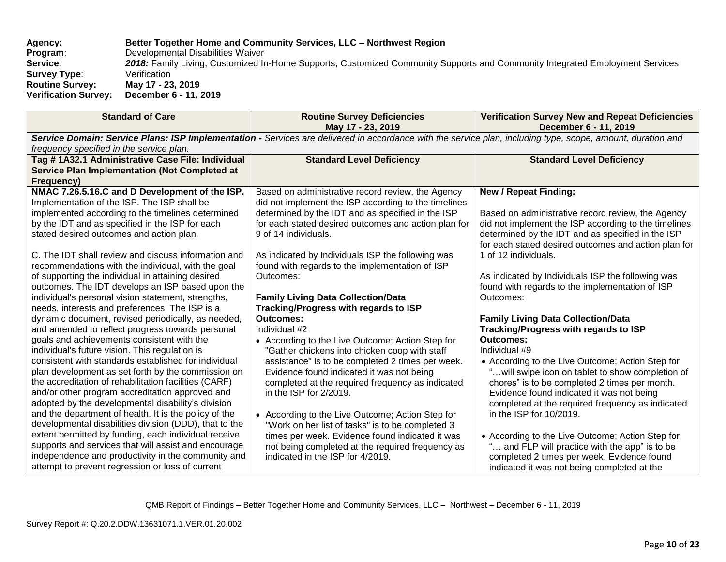## **Agency: Better Together Home and Community Services, LLC – Northwest Region Program**: Developmental Disabilities Waiver **Service**: *2018:* Family Living, Customized In-Home Supports, Customized Community Supports and Community Integrated Employment Services **Survey Type:** Verification **Routine Survey: May 17 - 23, 2019 Verification Survey: December 6 - 11, 2019**

| <b>Standard of Care</b>                                                                                                                                     | <b>Routine Survey Deficiencies</b><br>May 17 - 23, 2019                              | <b>Verification Survey New and Repeat Deficiencies</b><br>December 6 - 11, 2019              |  |  |
|-------------------------------------------------------------------------------------------------------------------------------------------------------------|--------------------------------------------------------------------------------------|----------------------------------------------------------------------------------------------|--|--|
| Service Domain: Service Plans: ISP Implementation - Services are delivered in accordance with the service plan, including type, scope, amount, duration and |                                                                                      |                                                                                              |  |  |
| frequency specified in the service plan.<br>Tag # 1A32.1 Administrative Case File: Individual                                                               | <b>Standard Level Deficiency</b>                                                     | <b>Standard Level Deficiency</b>                                                             |  |  |
| <b>Service Plan Implementation (Not Completed at</b>                                                                                                        |                                                                                      |                                                                                              |  |  |
| Frequency)<br>NMAC 7.26.5.16.C and D Development of the ISP.                                                                                                | Based on administrative record review, the Agency                                    | <b>New / Repeat Finding:</b>                                                                 |  |  |
| Implementation of the ISP. The ISP shall be                                                                                                                 | did not implement the ISP according to the timelines                                 |                                                                                              |  |  |
| implemented according to the timelines determined                                                                                                           | determined by the IDT and as specified in the ISP                                    | Based on administrative record review, the Agency                                            |  |  |
| by the IDT and as specified in the ISP for each                                                                                                             | for each stated desired outcomes and action plan for                                 | did not implement the ISP according to the timelines                                         |  |  |
| stated desired outcomes and action plan.                                                                                                                    | 9 of 14 individuals.                                                                 | determined by the IDT and as specified in the ISP                                            |  |  |
| C. The IDT shall review and discuss information and                                                                                                         | As indicated by Individuals ISP the following was                                    | for each stated desired outcomes and action plan for<br>1 of 12 individuals.                 |  |  |
| recommendations with the individual, with the goal                                                                                                          | found with regards to the implementation of ISP                                      |                                                                                              |  |  |
| of supporting the individual in attaining desired                                                                                                           | Outcomes:                                                                            | As indicated by Individuals ISP the following was                                            |  |  |
| outcomes. The IDT develops an ISP based upon the                                                                                                            |                                                                                      | found with regards to the implementation of ISP                                              |  |  |
| individual's personal vision statement, strengths,                                                                                                          | <b>Family Living Data Collection/Data</b>                                            | Outcomes:                                                                                    |  |  |
| needs, interests and preferences. The ISP is a<br>dynamic document, revised periodically, as needed,                                                        | Tracking/Progress with regards to ISP<br><b>Outcomes:</b>                            | <b>Family Living Data Collection/Data</b>                                                    |  |  |
| and amended to reflect progress towards personal                                                                                                            | Individual #2                                                                        | Tracking/Progress with regards to ISP                                                        |  |  |
| goals and achievements consistent with the                                                                                                                  | • According to the Live Outcome; Action Step for                                     | <b>Outcomes:</b>                                                                             |  |  |
| individual's future vision. This regulation is                                                                                                              | "Gather chickens into chicken coop with staff                                        | Individual #9                                                                                |  |  |
| consistent with standards established for individual                                                                                                        | assistance" is to be completed 2 times per week.                                     | • According to the Live Outcome; Action Step for                                             |  |  |
| plan development as set forth by the commission on<br>the accreditation of rehabilitation facilities (CARF)                                                 | Evidence found indicated it was not being                                            | "will swipe icon on tablet to show completion of                                             |  |  |
| and/or other program accreditation approved and                                                                                                             | completed at the required frequency as indicated<br>in the ISP for 2/2019.           | chores" is to be completed 2 times per month.<br>Evidence found indicated it was not being   |  |  |
| adopted by the developmental disability's division                                                                                                          |                                                                                      | completed at the required frequency as indicated                                             |  |  |
| and the department of health. It is the policy of the                                                                                                       | • According to the Live Outcome; Action Step for                                     | in the ISP for 10/2019.                                                                      |  |  |
| developmental disabilities division (DDD), that to the                                                                                                      | "Work on her list of tasks" is to be completed 3                                     |                                                                                              |  |  |
| extent permitted by funding, each individual receive                                                                                                        | times per week. Evidence found indicated it was                                      | • According to the Live Outcome; Action Step for                                             |  |  |
| supports and services that will assist and encourage<br>independence and productivity in the community and                                                  | not being completed at the required frequency as<br>indicated in the ISP for 4/2019. | " and FLP will practice with the app" is to be<br>completed 2 times per week. Evidence found |  |  |
| attempt to prevent regression or loss of current                                                                                                            |                                                                                      | indicated it was not being completed at the                                                  |  |  |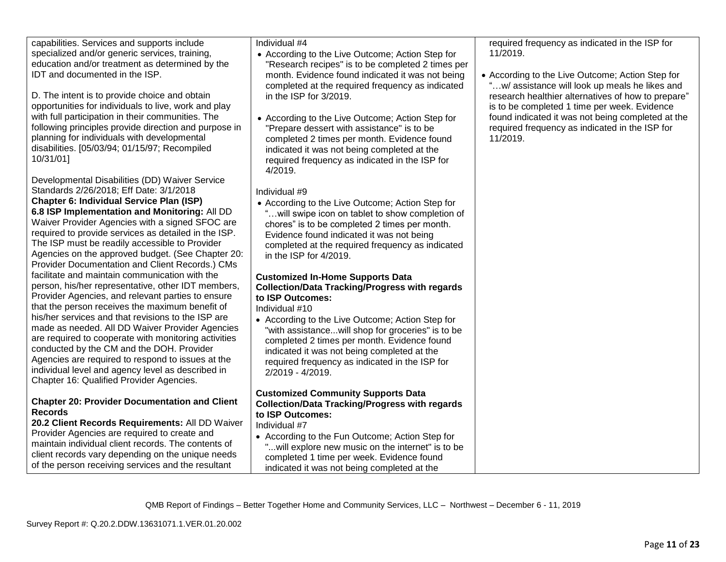| • According to the Live Outcome; Action Step for<br>w/ assistance will look up meals he likes and |
|---------------------------------------------------------------------------------------------------|
| research healthier alternatives of how to prepare"                                                |
| found indicated it was not being completed at the                                                 |
|                                                                                                   |
|                                                                                                   |
|                                                                                                   |
|                                                                                                   |
|                                                                                                   |
|                                                                                                   |
|                                                                                                   |
|                                                                                                   |
|                                                                                                   |
|                                                                                                   |
|                                                                                                   |
| is to be completed 1 time per week. Evidence<br>required frequency as indicated in the ISP for    |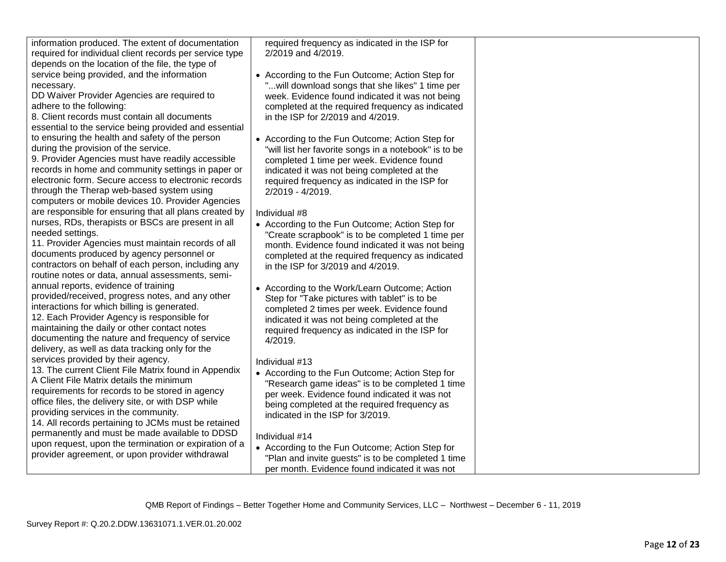| information produced. The extent of documentation<br>required for individual client records per service type<br>depends on the location of the file, the type of | required frequency as indicated in the ISP for<br>2/2019 and 4/2019.                                 |  |
|------------------------------------------------------------------------------------------------------------------------------------------------------------------|------------------------------------------------------------------------------------------------------|--|
| service being provided, and the information<br>necessary.                                                                                                        | • According to the Fun Outcome; Action Step for<br>"will download songs that she likes" 1 time per   |  |
| DD Waiver Provider Agencies are required to<br>adhere to the following:                                                                                          | week. Evidence found indicated it was not being<br>completed at the required frequency as indicated  |  |
| 8. Client records must contain all documents                                                                                                                     | in the ISP for 2/2019 and 4/2019.                                                                    |  |
| essential to the service being provided and essential<br>to ensuring the health and safety of the person                                                         | • According to the Fun Outcome; Action Step for                                                      |  |
| during the provision of the service.                                                                                                                             | "will list her favorite songs in a notebook" is to be                                                |  |
| 9. Provider Agencies must have readily accessible                                                                                                                | completed 1 time per week. Evidence found                                                            |  |
| records in home and community settings in paper or<br>electronic form. Secure access to electronic records                                                       | indicated it was not being completed at the<br>required frequency as indicated in the ISP for        |  |
| through the Therap web-based system using                                                                                                                        | 2/2019 - 4/2019.                                                                                     |  |
| computers or mobile devices 10. Provider Agencies                                                                                                                |                                                                                                      |  |
| are responsible for ensuring that all plans created by<br>nurses, RDs, therapists or BSCs are present in all                                                     | Individual #8<br>• According to the Fun Outcome; Action Step for                                     |  |
| needed settings.                                                                                                                                                 | "Create scrapbook" is to be completed 1 time per                                                     |  |
| 11. Provider Agencies must maintain records of all<br>documents produced by agency personnel or                                                                  | month. Evidence found indicated it was not being                                                     |  |
| contractors on behalf of each person, including any                                                                                                              | completed at the required frequency as indicated<br>in the ISP for 3/2019 and 4/2019.                |  |
| routine notes or data, annual assessments, semi-                                                                                                                 |                                                                                                      |  |
| annual reports, evidence of training<br>provided/received, progress notes, and any other                                                                         | • According to the Work/Learn Outcome; Action                                                        |  |
| interactions for which billing is generated.                                                                                                                     | Step for "Take pictures with tablet" is to be<br>completed 2 times per week. Evidence found          |  |
| 12. Each Provider Agency is responsible for                                                                                                                      | indicated it was not being completed at the                                                          |  |
| maintaining the daily or other contact notes<br>documenting the nature and frequency of service                                                                  | required frequency as indicated in the ISP for                                                       |  |
| delivery, as well as data tracking only for the                                                                                                                  | 4/2019.                                                                                              |  |
| services provided by their agency.                                                                                                                               | Individual #13                                                                                       |  |
| 13. The current Client File Matrix found in Appendix<br>A Client File Matrix details the minimum                                                                 | • According to the Fun Outcome; Action Step for<br>"Research game ideas" is to be completed 1 time   |  |
| requirements for records to be stored in agency                                                                                                                  | per week. Evidence found indicated it was not                                                        |  |
| office files, the delivery site, or with DSP while<br>providing services in the community.                                                                       | being completed at the required frequency as                                                         |  |
| 14. All records pertaining to JCMs must be retained                                                                                                              | indicated in the ISP for 3/2019.                                                                     |  |
| permanently and must be made available to DDSD                                                                                                                   | Individual #14                                                                                       |  |
| upon request, upon the termination or expiration of a<br>provider agreement, or upon provider withdrawal                                                         | • According to the Fun Outcome; Action Step for                                                      |  |
|                                                                                                                                                                  | "Plan and invite guests" is to be completed 1 time<br>per month. Evidence found indicated it was not |  |
|                                                                                                                                                                  |                                                                                                      |  |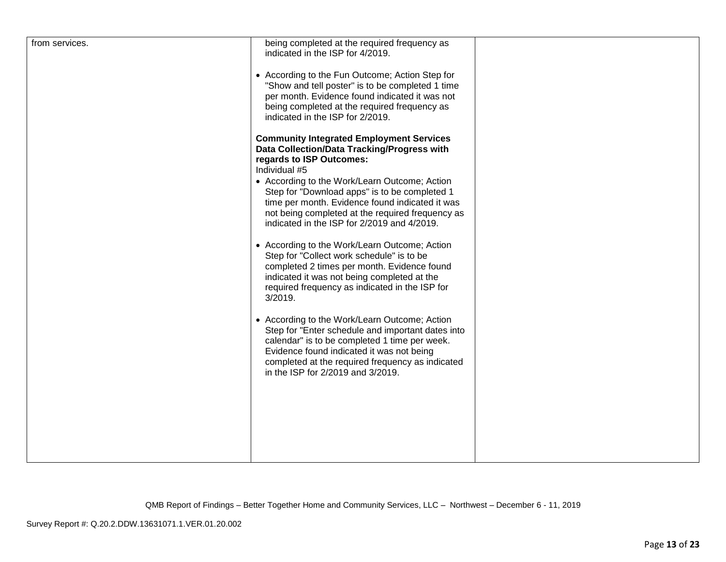| from services. | being completed at the required frequency as<br>indicated in the ISP for 4/2019.<br>• According to the Fun Outcome; Action Step for<br>"Show and tell poster" is to be completed 1 time<br>per month. Evidence found indicated it was not<br>being completed at the required frequency as<br>indicated in the ISP for 2/2019.<br><b>Community Integrated Employment Services</b><br>Data Collection/Data Tracking/Progress with<br>regards to ISP Outcomes:<br>Individual #5<br>• According to the Work/Learn Outcome; Action<br>Step for "Download apps" is to be completed 1<br>time per month. Evidence found indicated it was<br>not being completed at the required frequency as<br>indicated in the ISP for 2/2019 and 4/2019. |  |
|----------------|--------------------------------------------------------------------------------------------------------------------------------------------------------------------------------------------------------------------------------------------------------------------------------------------------------------------------------------------------------------------------------------------------------------------------------------------------------------------------------------------------------------------------------------------------------------------------------------------------------------------------------------------------------------------------------------------------------------------------------------|--|
|                | • According to the Work/Learn Outcome; Action<br>Step for "Collect work schedule" is to be<br>completed 2 times per month. Evidence found<br>indicated it was not being completed at the<br>required frequency as indicated in the ISP for<br>3/2019.                                                                                                                                                                                                                                                                                                                                                                                                                                                                                |  |
|                | • According to the Work/Learn Outcome; Action<br>Step for "Enter schedule and important dates into<br>calendar" is to be completed 1 time per week.<br>Evidence found indicated it was not being<br>completed at the required frequency as indicated<br>in the ISP for 2/2019 and 3/2019.                                                                                                                                                                                                                                                                                                                                                                                                                                            |  |
|                |                                                                                                                                                                                                                                                                                                                                                                                                                                                                                                                                                                                                                                                                                                                                      |  |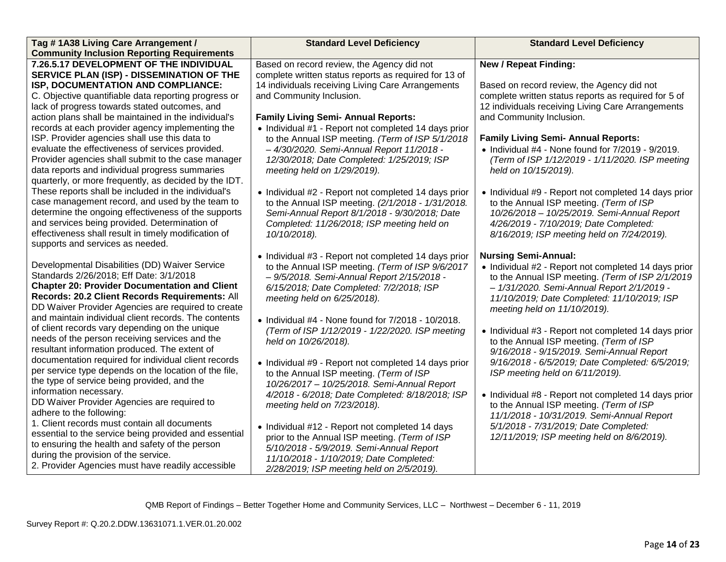| Tag #1A38 Living Care Arrangement /<br><b>Community Inclusion Reporting Requirements</b>                                                                                                                                                                                                                          | <b>Standard Level Deficiency</b>                                                                                                                                                                                                  | <b>Standard Level Deficiency</b>                                                                                                                                                                                                                                     |
|-------------------------------------------------------------------------------------------------------------------------------------------------------------------------------------------------------------------------------------------------------------------------------------------------------------------|-----------------------------------------------------------------------------------------------------------------------------------------------------------------------------------------------------------------------------------|----------------------------------------------------------------------------------------------------------------------------------------------------------------------------------------------------------------------------------------------------------------------|
| 7.26.5.17 DEVELOPMENT OF THE INDIVIDUAL                                                                                                                                                                                                                                                                           | Based on record review, the Agency did not                                                                                                                                                                                        | <b>New / Repeat Finding:</b>                                                                                                                                                                                                                                         |
| SERVICE PLAN (ISP) - DISSEMINATION OF THE<br>ISP, DOCUMENTATION AND COMPLIANCE:<br>C. Objective quantifiable data reporting progress or<br>lack of progress towards stated outcomes, and                                                                                                                          | complete written status reports as required for 13 of<br>14 individuals receiving Living Care Arrangements<br>and Community Inclusion.                                                                                            | Based on record review, the Agency did not<br>complete written status reports as required for 5 of<br>12 individuals receiving Living Care Arrangements                                                                                                              |
| action plans shall be maintained in the individual's<br>records at each provider agency implementing the                                                                                                                                                                                                          | <b>Family Living Semi- Annual Reports:</b><br>• Individual #1 - Report not completed 14 days prior                                                                                                                                | and Community Inclusion.                                                                                                                                                                                                                                             |
| ISP. Provider agencies shall use this data to<br>evaluate the effectiveness of services provided.<br>Provider agencies shall submit to the case manager<br>data reports and individual progress summaries<br>quarterly, or more frequently, as decided by the IDT.                                                | to the Annual ISP meeting. (Term of ISP 5/1/2018<br>- 4/30/2020. Semi-Annual Report 11/2018 -<br>12/30/2018; Date Completed: 1/25/2019; ISP<br>meeting held on 1/29/2019).                                                        | <b>Family Living Semi- Annual Reports:</b><br>$\bullet$ Individual #4 - None found for $7/2019$ - $9/2019$ .<br>(Term of ISP 1/12/2019 - 1/11/2020. ISP meeting<br>held on 10/15/2019).                                                                              |
| These reports shall be included in the individual's<br>case management record, and used by the team to<br>determine the ongoing effectiveness of the supports<br>and services being provided. Determination of<br>effectiveness shall result in timely modification of<br>supports and services as needed.        | • Individual #2 - Report not completed 14 days prior<br>to the Annual ISP meeting. (2/1/2018 - 1/31/2018.<br>Semi-Annual Report 8/1/2018 - 9/30/2018; Date<br>Completed: 11/26/2018; ISP meeting held on<br>10/10/2018).          | • Individual #9 - Report not completed 14 days prior<br>to the Annual ISP meeting. (Term of ISP<br>10/26/2018 - 10/25/2019. Semi-Annual Report<br>4/26/2019 - 7/10/2019; Date Completed:<br>8/16/2019; ISP meeting held on 7/24/2019).                               |
| Developmental Disabilities (DD) Waiver Service<br>Standards 2/26/2018; Eff Date: 3/1/2018<br><b>Chapter 20: Provider Documentation and Client</b><br>Records: 20.2 Client Records Requirements: All<br>DD Waiver Provider Agencies are required to create<br>and maintain individual client records. The contents | • Individual #3 - Report not completed 14 days prior<br>to the Annual ISP meeting. (Term of ISP 9/6/2017<br>- 9/5/2018. Semi-Annual Report 2/15/2018 -<br>6/15/2018; Date Completed: 7/2/2018; ISP<br>meeting held on 6/25/2018). | <b>Nursing Semi-Annual:</b><br>• Individual #2 - Report not completed 14 days prior<br>to the Annual ISP meeting. (Term of ISP 2/1/2019<br>- 1/31/2020. Semi-Annual Report 2/1/2019 -<br>11/10/2019; Date Completed: 11/10/2019; ISP<br>meeting held on 11/10/2019). |
| of client records vary depending on the unique<br>needs of the person receiving services and the<br>resultant information produced. The extent of<br>documentation required for individual client records                                                                                                         | $\bullet$ Individual #4 - None found for $7/2018 - 10/2018$ .<br>(Term of ISP 1/12/2019 - 1/22/2020. ISP meeting<br>held on 10/26/2018).                                                                                          | • Individual #3 - Report not completed 14 days prior<br>to the Annual ISP meeting. (Term of ISP<br>9/16/2018 - 9/15/2019. Semi-Annual Report                                                                                                                         |
| per service type depends on the location of the file,<br>the type of service being provided, and the                                                                                                                                                                                                              | • Individual #9 - Report not completed 14 days prior<br>to the Annual ISP meeting. (Term of ISP<br>10/26/2017 - 10/25/2018. Semi-Annual Report                                                                                    | 9/16/2018 - 6/5/2019; Date Completed: 6/5/2019;<br>ISP meeting held on 6/11/2019).                                                                                                                                                                                   |
| information necessary.<br>DD Waiver Provider Agencies are required to<br>adhere to the following:                                                                                                                                                                                                                 | 4/2018 - 6/2018; Date Completed: 8/18/2018; ISP<br>meeting held on 7/23/2018).                                                                                                                                                    | • Individual #8 - Report not completed 14 days prior<br>to the Annual ISP meeting. (Term of ISP<br>11/1/2018 - 10/31/2019. Semi-Annual Report                                                                                                                        |
| 1. Client records must contain all documents<br>essential to the service being provided and essential<br>to ensuring the health and safety of the person<br>during the provision of the service.                                                                                                                  | • Individual #12 - Report not completed 14 days<br>prior to the Annual ISP meeting. (Term of ISP<br>5/10/2018 - 5/9/2019. Semi-Annual Report<br>11/10/2018 - 1/10/2019; Date Completed:                                           | 5/1/2018 - 7/31/2019; Date Completed:<br>12/11/2019; ISP meeting held on 8/6/2019).                                                                                                                                                                                  |
| 2. Provider Agencies must have readily accessible                                                                                                                                                                                                                                                                 | 2/28/2019; ISP meeting held on 2/5/2019).                                                                                                                                                                                         |                                                                                                                                                                                                                                                                      |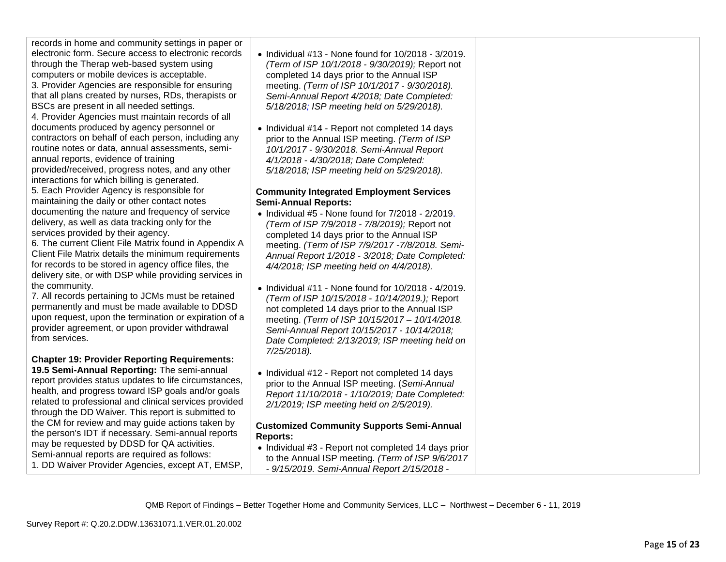records in home and community settings in paper or electronic form. Secure access to electronic records

through the Therap web-based system using computers or mobile devices is acceptable. 3. Provider Agencies are responsible for ensuring

that all plans created by nurses, RDs, therapists or BSCs are present in all needed settings.

4. Provider Agencies must maintain records of all documents produced by agency personnel or contractors on behalf of each person, including any routine notes or data, annual assessments, semiannual reports, evidence of training provided/received, progress notes, and any other interactions for which billing is generated.

5. Each Provider Agency is responsible for maintaining the daily or other contact notes documenting the nature and frequency of service delivery, as well as data tracking only for the services provided by their agency.

6. The current Client File Matrix found in Appendix A Client File Matrix details the minimum requirements for records to be stored in agency office files, the delivery site, or with DSP while providing services in the community.

7. All records pertaining to JCMs must be retained permanently and must be made available to DDSD upon request, upon the termination or expiration of a provider agreement, or upon provider withdrawal from services.

# **Chapter 19: Provider Reporting Requirements:**

**19.5 Semi-Annual Reporting:** The semi-annual report provides status updates to life circumstances, health, and progress toward ISP goals and/or goals related to professional and clinical services provided through the DD Waiver. This report is submitted to the CM for review and may guide actions taken by the person's IDT if necessary. Semi-annual reports may be requested by DDSD for QA activities. Semi-annual reports are required as follows: 1. DD Waiver Provider Agencies, except AT, EMSP,

- Individual #13 None found for 10/2018 3/2019. *(Term of ISP 10/1/2018 - 9/30/2019);* Report not completed 14 days prior to the Annual ISP meeting. *(Term of ISP 10/1/2017 - 9/30/2018). Semi-Annual Report 4/2018; Date Completed: 5/18/2018; ISP meeting held on 5/29/2018).*
- Individual #14 Report not completed 14 days prior to the Annual ISP meeting. *(Term of ISP 10/1/2017 - 9/30/2018. Semi-Annual Report 4/1/2018 - 4/30/2018; Date Completed: 5/18/2018; ISP meeting held on 5/29/2018).*

## **Community Integrated Employment Services Semi-Annual Reports:**

- Individual #5 None found for 7/2018 2/2019. *(Term of ISP 7/9/2018 - 7/8/2019);* Report not completed 14 days prior to the Annual ISP meeting. *(Term of ISP 7/9/2017 -7/8/2018. Semi-Annual Report 1/2018 - 3/2018; Date Completed: 4/4/2018; ISP meeting held on 4/4/2018).*
- Individual #11 None found for 10/2018 4/2019. *(Term of ISP 10/15/2018 - 10/14/2019.);* Report not completed 14 days prior to the Annual ISP meeting. *(Term of ISP 10/15/2017 – 10/14/2018. Semi-Annual Report 10/15/2017 - 10/14/2018; Date Completed: 2/13/2019; ISP meeting held on 7/25/2018).*
- Individual #12 Report not completed 14 days prior to the Annual ISP meeting. (*Semi-Annual Report 11/10/2018 - 1/10/2019; Date Completed: 2/1/2019; ISP meeting held on 2/5/2019).*

## **Customized Community Supports Semi-Annual Reports:**

• Individual #3 - Report not completed 14 days prior to the Annual ISP meeting. *(Term of ISP 9/6/2017 - 9/15/2019. Semi-Annual Report 2/15/2018 -*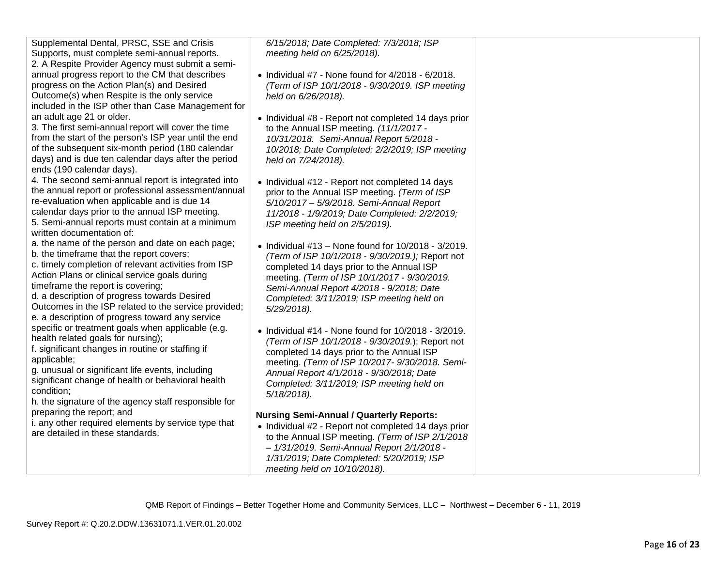| Supplemental Dental, PRSC, SSE and Crisis                                                             | 6/15/2018; Date Completed: 7/3/2018; ISP                                                                     |  |
|-------------------------------------------------------------------------------------------------------|--------------------------------------------------------------------------------------------------------------|--|
| Supports, must complete semi-annual reports.<br>2. A Respite Provider Agency must submit a semi-      | meeting held on 6/25/2018).                                                                                  |  |
| annual progress report to the CM that describes                                                       | $\bullet$ Individual #7 - None found for 4/2018 - 6/2018.                                                    |  |
| progress on the Action Plan(s) and Desired                                                            | (Term of ISP 10/1/2018 - 9/30/2019. ISP meeting                                                              |  |
| Outcome(s) when Respite is the only service                                                           | held on 6/26/2018).                                                                                          |  |
| included in the ISP other than Case Management for                                                    |                                                                                                              |  |
| an adult age 21 or older.                                                                             | • Individual #8 - Report not completed 14 days prior                                                         |  |
| 3. The first semi-annual report will cover the time                                                   | to the Annual ISP meeting. (11/1/2017 -                                                                      |  |
| from the start of the person's ISP year until the end                                                 | 10/31/2018. Semi-Annual Report 5/2018 -                                                                      |  |
| of the subsequent six-month period (180 calendar                                                      | 10/2018; Date Completed: 2/2/2019; ISP meeting                                                               |  |
| days) and is due ten calendar days after the period                                                   | held on 7/24/2018).                                                                                          |  |
| ends (190 calendar days).                                                                             |                                                                                                              |  |
| 4. The second semi-annual report is integrated into                                                   | • Individual #12 - Report not completed 14 days                                                              |  |
| the annual report or professional assessment/annual                                                   | prior to the Annual ISP meeting. (Term of ISP                                                                |  |
| re-evaluation when applicable and is due 14                                                           | 5/10/2017 - 5/9/2018. Semi-Annual Report                                                                     |  |
| calendar days prior to the annual ISP meeting.                                                        | 11/2018 - 1/9/2019; Date Completed: 2/2/2019;                                                                |  |
| 5. Semi-annual reports must contain at a minimum<br>written documentation of:                         | ISP meeting held on 2/5/2019).                                                                               |  |
| a. the name of the person and date on each page;                                                      |                                                                                                              |  |
| b. the timeframe that the report covers;                                                              | • Individual $#13$ – None found for $10/2018 - 3/2019$ .<br>(Term of ISP 10/1/2018 - 9/30/2019.); Report not |  |
| c. timely completion of relevant activities from ISP                                                  | completed 14 days prior to the Annual ISP                                                                    |  |
| Action Plans or clinical service goals during                                                         | meeting. (Term of ISP 10/1/2017 - 9/30/2019.                                                                 |  |
| timeframe the report is covering;                                                                     | Semi-Annual Report 4/2018 - 9/2018; Date                                                                     |  |
| d. a description of progress towards Desired                                                          | Completed: 3/11/2019; ISP meeting held on                                                                    |  |
| Outcomes in the ISP related to the service provided;                                                  | 5/29/2018).                                                                                                  |  |
| e. a description of progress toward any service                                                       |                                                                                                              |  |
| specific or treatment goals when applicable (e.g.                                                     | • Individual #14 - None found for 10/2018 - 3/2019.                                                          |  |
| health related goals for nursing);                                                                    | (Term of ISP 10/1/2018 - 9/30/2019.); Report not                                                             |  |
| f. significant changes in routine or staffing if                                                      | completed 14 days prior to the Annual ISP                                                                    |  |
| applicable;                                                                                           | meeting. (Term of ISP 10/2017- 9/30/2018. Semi-                                                              |  |
| g. unusual or significant life events, including<br>significant change of health or behavioral health | Annual Report 4/1/2018 - 9/30/2018; Date                                                                     |  |
| condition;                                                                                            | Completed: 3/11/2019; ISP meeting held on                                                                    |  |
| h. the signature of the agency staff responsible for                                                  | $5/18/2018$ ).                                                                                               |  |
| preparing the report; and                                                                             |                                                                                                              |  |
| i. any other required elements by service type that                                                   | <b>Nursing Semi-Annual / Quarterly Reports:</b>                                                              |  |
| are detailed in these standards.                                                                      | • Individual #2 - Report not completed 14 days prior<br>to the Annual ISP meeting. (Term of ISP 2/1/2018     |  |
|                                                                                                       | - 1/31/2019. Semi-Annual Report 2/1/2018 -                                                                   |  |
|                                                                                                       | 1/31/2019; Date Completed: 5/20/2019; ISP                                                                    |  |
|                                                                                                       | meeting held on 10/10/2018).                                                                                 |  |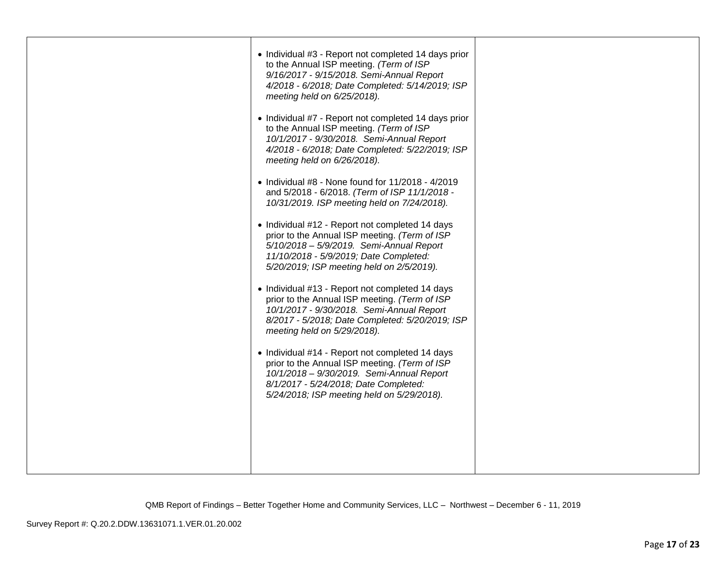| • Individual #3 - Report not completed 14 days prior<br>to the Annual ISP meeting. (Term of ISP<br>9/16/2017 - 9/15/2018. Semi-Annual Report<br>4/2018 - 6/2018; Date Completed: 5/14/2019; ISP<br>meeting held on 6/25/2018).<br>• Individual #7 - Report not completed 14 days prior<br>to the Annual ISP meeting. (Term of ISP<br>10/1/2017 - 9/30/2018. Semi-Annual Report<br>4/2018 - 6/2018; Date Completed: 5/22/2019; ISP<br>meeting held on 6/26/2018).<br>• Individual $#8$ - None found for $11/2018 - 4/2019$<br>and 5/2018 - 6/2018. (Term of ISP 11/1/2018 -<br>10/31/2019. ISP meeting held on 7/24/2018).<br>• Individual #12 - Report not completed 14 days<br>prior to the Annual ISP meeting. (Term of ISP<br>5/10/2018 - 5/9/2019. Semi-Annual Report<br>11/10/2018 - 5/9/2019; Date Completed:<br>5/20/2019; ISP meeting held on 2/5/2019).<br>• Individual #13 - Report not completed 14 days<br>prior to the Annual ISP meeting. (Term of ISP<br>10/1/2017 - 9/30/2018. Semi-Annual Report<br>8/2017 - 5/2018; Date Completed: 5/20/2019; ISP<br>meeting held on 5/29/2018).<br>• Individual #14 - Report not completed 14 days<br>prior to the Annual ISP meeting. (Term of ISP<br>10/1/2018 - 9/30/2019. Semi-Annual Report<br>8/1/2017 - 5/24/2018; Date Completed:<br>5/24/2018; ISP meeting held on 5/29/2018). |  |
|---------------------------------------------------------------------------------------------------------------------------------------------------------------------------------------------------------------------------------------------------------------------------------------------------------------------------------------------------------------------------------------------------------------------------------------------------------------------------------------------------------------------------------------------------------------------------------------------------------------------------------------------------------------------------------------------------------------------------------------------------------------------------------------------------------------------------------------------------------------------------------------------------------------------------------------------------------------------------------------------------------------------------------------------------------------------------------------------------------------------------------------------------------------------------------------------------------------------------------------------------------------------------------------------------------------------------------------------|--|
|                                                                                                                                                                                                                                                                                                                                                                                                                                                                                                                                                                                                                                                                                                                                                                                                                                                                                                                                                                                                                                                                                                                                                                                                                                                                                                                                             |  |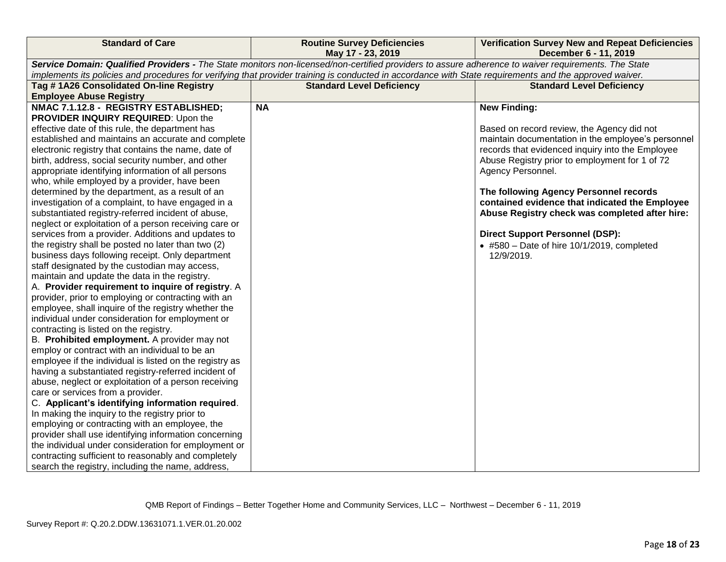| <b>Standard of Care</b>                                 | <b>Routine Survey Deficiencies</b><br>May 17 - 23, 2019                                                                                                 | <b>Verification Survey New and Repeat Deficiencies</b><br>December 6 - 11, 2019 |
|---------------------------------------------------------|---------------------------------------------------------------------------------------------------------------------------------------------------------|---------------------------------------------------------------------------------|
|                                                         | Service Domain: Qualified Providers - The State monitors non-licensed/non-certified providers to assure adherence to waiver requirements. The State     |                                                                                 |
|                                                         | implements its policies and procedures for verifying that provider training is conducted in accordance with State requirements and the approved waiver. |                                                                                 |
| Tag #1A26 Consolidated On-line Registry                 | <b>Standard Level Deficiency</b>                                                                                                                        | <b>Standard Level Deficiency</b>                                                |
| <b>Employee Abuse Registry</b>                          |                                                                                                                                                         |                                                                                 |
| NMAC 7.1.12.8 - REGISTRY ESTABLISHED;                   | <b>NA</b>                                                                                                                                               | <b>New Finding:</b>                                                             |
| PROVIDER INQUIRY REQUIRED: Upon the                     |                                                                                                                                                         |                                                                                 |
| effective date of this rule, the department has         |                                                                                                                                                         | Based on record review, the Agency did not                                      |
| established and maintains an accurate and complete      |                                                                                                                                                         | maintain documentation in the employee's personnel                              |
| electronic registry that contains the name, date of     |                                                                                                                                                         | records that evidenced inquiry into the Employee                                |
| birth, address, social security number, and other       |                                                                                                                                                         | Abuse Registry prior to employment for 1 of 72                                  |
| appropriate identifying information of all persons      |                                                                                                                                                         | Agency Personnel.                                                               |
| who, while employed by a provider, have been            |                                                                                                                                                         |                                                                                 |
| determined by the department, as a result of an         |                                                                                                                                                         | The following Agency Personnel records                                          |
| investigation of a complaint, to have engaged in a      |                                                                                                                                                         | contained evidence that indicated the Employee                                  |
| substantiated registry-referred incident of abuse,      |                                                                                                                                                         | Abuse Registry check was completed after hire:                                  |
| neglect or exploitation of a person receiving care or   |                                                                                                                                                         |                                                                                 |
| services from a provider. Additions and updates to      |                                                                                                                                                         | <b>Direct Support Personnel (DSP):</b>                                          |
| the registry shall be posted no later than two (2)      |                                                                                                                                                         | $\bullet$ #580 - Date of hire 10/1/2019, completed                              |
| business days following receipt. Only department        |                                                                                                                                                         | 12/9/2019.                                                                      |
| staff designated by the custodian may access,           |                                                                                                                                                         |                                                                                 |
| maintain and update the data in the registry.           |                                                                                                                                                         |                                                                                 |
| A. Provider requirement to inquire of registry. A       |                                                                                                                                                         |                                                                                 |
| provider, prior to employing or contracting with an     |                                                                                                                                                         |                                                                                 |
| employee, shall inquire of the registry whether the     |                                                                                                                                                         |                                                                                 |
| individual under consideration for employment or        |                                                                                                                                                         |                                                                                 |
| contracting is listed on the registry.                  |                                                                                                                                                         |                                                                                 |
| B. Prohibited employment. A provider may not            |                                                                                                                                                         |                                                                                 |
| employ or contract with an individual to be an          |                                                                                                                                                         |                                                                                 |
| employee if the individual is listed on the registry as |                                                                                                                                                         |                                                                                 |
| having a substantiated registry-referred incident of    |                                                                                                                                                         |                                                                                 |
| abuse, neglect or exploitation of a person receiving    |                                                                                                                                                         |                                                                                 |
| care or services from a provider.                       |                                                                                                                                                         |                                                                                 |
| C. Applicant's identifying information required.        |                                                                                                                                                         |                                                                                 |
| In making the inquiry to the registry prior to          |                                                                                                                                                         |                                                                                 |
| employing or contracting with an employee, the          |                                                                                                                                                         |                                                                                 |
| provider shall use identifying information concerning   |                                                                                                                                                         |                                                                                 |
| the individual under consideration for employment or    |                                                                                                                                                         |                                                                                 |
| contracting sufficient to reasonably and completely     |                                                                                                                                                         |                                                                                 |
| search the registry, including the name, address,       |                                                                                                                                                         |                                                                                 |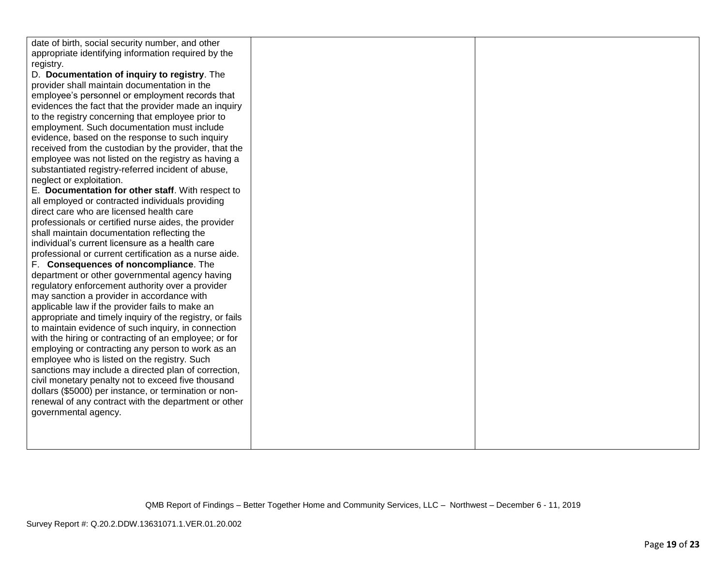| date of birth, social security number, and other                                             |  |
|----------------------------------------------------------------------------------------------|--|
| appropriate identifying information required by the                                          |  |
| registry.                                                                                    |  |
| D. Documentation of inquiry to registry. The<br>provider shall maintain documentation in the |  |
| employee's personnel or employment records that                                              |  |
| evidences the fact that the provider made an inquiry                                         |  |
| to the registry concerning that employee prior to                                            |  |
| employment. Such documentation must include                                                  |  |
| evidence, based on the response to such inquiry                                              |  |
| received from the custodian by the provider, that the                                        |  |
| employee was not listed on the registry as having a                                          |  |
| substantiated registry-referred incident of abuse,                                           |  |
| neglect or exploitation.                                                                     |  |
| E. Documentation for other staff. With respect to                                            |  |
| all employed or contracted individuals providing                                             |  |
| direct care who are licensed health care                                                     |  |
| professionals or certified nurse aides, the provider                                         |  |
| shall maintain documentation reflecting the                                                  |  |
| individual's current licensure as a health care                                              |  |
| professional or current certification as a nurse aide.                                       |  |
| F. Consequences of noncompliance. The                                                        |  |
| department or other governmental agency having                                               |  |
| regulatory enforcement authority over a provider                                             |  |
| may sanction a provider in accordance with                                                   |  |
| applicable law if the provider fails to make an                                              |  |
| appropriate and timely inquiry of the registry, or fails                                     |  |
| to maintain evidence of such inquiry, in connection                                          |  |
| with the hiring or contracting of an employee; or for                                        |  |
| employing or contracting any person to work as an                                            |  |
| employee who is listed on the registry. Such                                                 |  |
| sanctions may include a directed plan of correction,                                         |  |
| civil monetary penalty not to exceed five thousand                                           |  |
| dollars (\$5000) per instance, or termination or non-                                        |  |
| renewal of any contract with the department or other<br>governmental agency.                 |  |
|                                                                                              |  |
|                                                                                              |  |
|                                                                                              |  |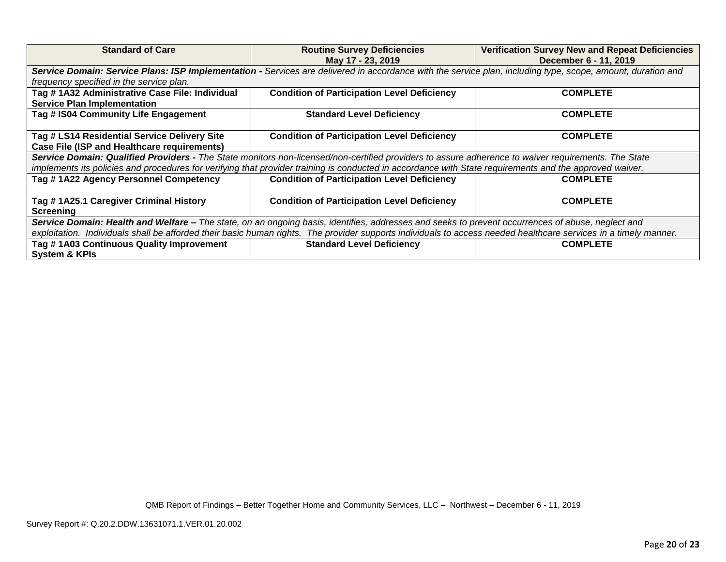| <b>Standard of Care</b>                                                                                                                                          | <b>Routine Survey Deficiencies</b><br>May 17 - 23, 2019 | <b>Verification Survey New and Repeat Deficiencies</b><br>December 6 - 11, 2019 |  |  |
|------------------------------------------------------------------------------------------------------------------------------------------------------------------|---------------------------------------------------------|---------------------------------------------------------------------------------|--|--|
| Service Domain: Service Plans: ISP Implementation - Services are delivered in accordance with the service plan, including type, scope, amount, duration and      |                                                         |                                                                                 |  |  |
| frequency specified in the service plan.                                                                                                                         |                                                         |                                                                                 |  |  |
| Tag # 1A32 Administrative Case File: Individual                                                                                                                  | <b>Condition of Participation Level Deficiency</b>      | <b>COMPLETE</b>                                                                 |  |  |
| <b>Service Plan Implementation</b>                                                                                                                               |                                                         |                                                                                 |  |  |
| Tag # IS04 Community Life Engagement                                                                                                                             | <b>Standard Level Deficiency</b>                        | <b>COMPLETE</b>                                                                 |  |  |
|                                                                                                                                                                  |                                                         |                                                                                 |  |  |
| Tag # LS14 Residential Service Delivery Site                                                                                                                     | <b>Condition of Participation Level Deficiency</b>      | <b>COMPLETE</b>                                                                 |  |  |
| <b>Case File (ISP and Healthcare requirements)</b>                                                                                                               |                                                         |                                                                                 |  |  |
| Service Domain: Qualified Providers - The State monitors non-licensed/non-certified providers to assure adherence to waiver requirements. The State              |                                                         |                                                                                 |  |  |
| implements its policies and procedures for verifying that provider training is conducted in accordance with State requirements and the approved waiver.          |                                                         |                                                                                 |  |  |
| Tag #1A22 Agency Personnel Competency                                                                                                                            | <b>Condition of Participation Level Deficiency</b>      | <b>COMPLETE</b>                                                                 |  |  |
|                                                                                                                                                                  |                                                         |                                                                                 |  |  |
| Tag #1A25.1 Caregiver Criminal History                                                                                                                           | <b>Condition of Participation Level Deficiency</b>      | <b>COMPLETE</b>                                                                 |  |  |
| <b>Screening</b>                                                                                                                                                 |                                                         |                                                                                 |  |  |
| Service Domain: Health and Welfare – The state, on an ongoing basis, identifies, addresses and seeks to prevent occurrences of abuse, neglect and                |                                                         |                                                                                 |  |  |
| exploitation. Individuals shall be afforded their basic human rights. The provider supports individuals to access needed healthcare services in a timely manner. |                                                         |                                                                                 |  |  |
| Tag #1A03 Continuous Quality Improvement                                                                                                                         | <b>Standard Level Deficiency</b>                        | <b>COMPLETE</b>                                                                 |  |  |
| <b>System &amp; KPIs</b>                                                                                                                                         |                                                         |                                                                                 |  |  |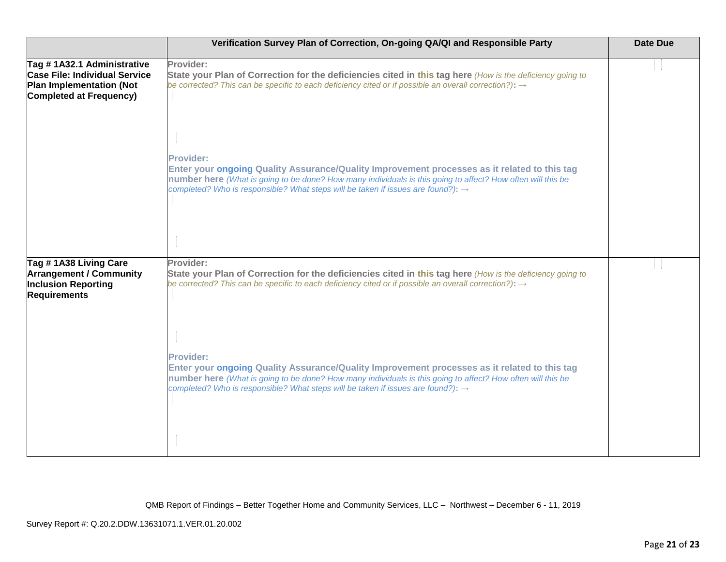|                                                                                                                                         | Verification Survey Plan of Correction, On-going QA/QI and Responsible Party                                                                                                                                                                                                                                                    | <b>Date Due</b> |
|-----------------------------------------------------------------------------------------------------------------------------------------|---------------------------------------------------------------------------------------------------------------------------------------------------------------------------------------------------------------------------------------------------------------------------------------------------------------------------------|-----------------|
| Tag #1A32.1 Administrative<br><b>Case File: Individual Service</b><br><b>Plan Implementation (Not</b><br><b>Completed at Frequency)</b> | Provider:<br>State your Plan of Correction for the deficiencies cited in this tag here (How is the deficiency going to<br>be corrected? This can be specific to each deficiency cited or if possible an overall correction?): $\rightarrow$                                                                                     |                 |
|                                                                                                                                         | <b>Provider:</b><br>Enter your ongoing Quality Assurance/Quality Improvement processes as it related to this tag<br>number here (What is going to be done? How many individuals is this going to affect? How often will this be<br>completed? Who is responsible? What steps will be taken if issues are found?): $\rightarrow$ |                 |
| Tag #1A38 Living Care<br><b>Arrangement / Community</b><br><b>Inclusion Reporting</b><br><b>Requirements</b>                            | Provider:<br>State your Plan of Correction for the deficiencies cited in this tag here (How is the deficiency going to<br>be corrected? This can be specific to each deficiency cited or if possible an overall correction?): $\rightarrow$                                                                                     |                 |
|                                                                                                                                         | <b>Provider:</b><br>Enter your ongoing Quality Assurance/Quality Improvement processes as it related to this tag<br>number here (What is going to be done? How many individuals is this going to affect? How often will this be<br>completed? Who is responsible? What steps will be taken if issues are found?): $\rightarrow$ |                 |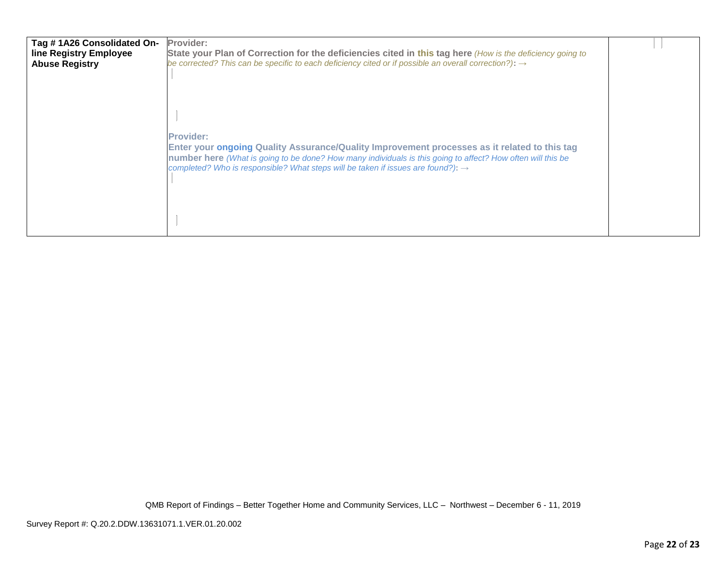| Tag #1A26 Consolidated On-<br>line Registry Employee<br><b>Abuse Registry</b> | Provider:<br>State your Plan of Correction for the deficiencies cited in this tag here (How is the deficiency going to<br>be corrected? This can be specific to each deficiency cited or if possible an overall correction?): $\rightarrow$                                                                                     |  |
|-------------------------------------------------------------------------------|---------------------------------------------------------------------------------------------------------------------------------------------------------------------------------------------------------------------------------------------------------------------------------------------------------------------------------|--|
|                                                                               | <b>Provider:</b><br>Enter your ongoing Quality Assurance/Quality Improvement processes as it related to this tag<br>number here (What is going to be done? How many individuals is this going to affect? How often will this be<br>completed? Who is responsible? What steps will be taken if issues are found?): $\rightarrow$ |  |